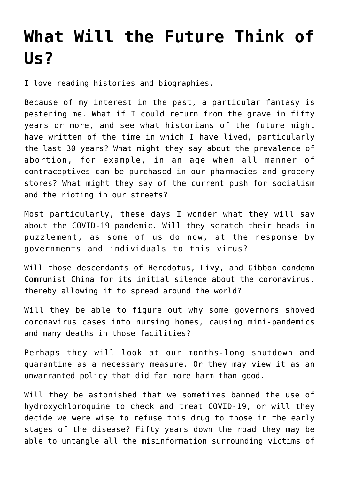## **[What Will the Future Think of](https://intellectualtakeout.org/2020/08/what-will-the-future-think-of-us/) [Us?](https://intellectualtakeout.org/2020/08/what-will-the-future-think-of-us/)**

I love reading histories and biographies.

Because of my interest in the past, a particular fantasy is pestering me. What if I could return from the grave in fifty years or more, and see what historians of the future might have written of the time in which I have lived, particularly the last 30 years? What might they say about the prevalence of abortion, for example, in an age when all manner of contraceptives can be purchased in our pharmacies and grocery stores? What might they say of the current push for socialism and the rioting in our streets?

Most particularly, these days I wonder what they will say about the COVID-19 pandemic. Will they scratch their heads in puzzlement, as some of us do now, at the response by governments and individuals to this virus?

Will those descendants of Herodotus, Livy, and Gibbon condemn Communist China for its initial silence about the coronavirus, thereby allowing it to spread around the world?

Will they be able to figure out why some governors shoved coronavirus cases into nursing homes, causing mini-pandemics and many deaths in those facilities?

Perhaps they will look at our months-long shutdown and quarantine as a necessary measure. Or they may view it as an unwarranted policy that did far more harm than good.

Will they be astonished that we sometimes banned the use of hydroxychloroquine to check and treat COVID-19, or will they decide we were wise to refuse this drug to those in the early stages of the disease? Fifty years down the road they may be able to untangle all the misinformation surrounding victims of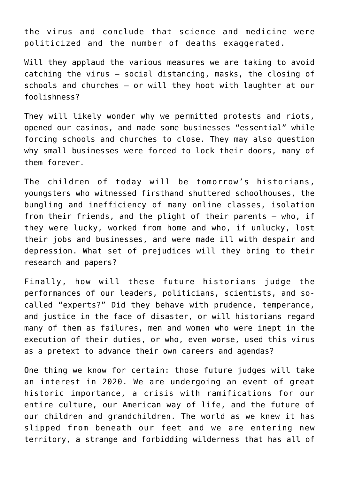the virus and conclude that science and medicine were politicized and the number of deaths exaggerated.

Will they applaud the various measures we are taking to avoid catching the virus – social distancing, masks, the closing of schools and churches – or will they hoot with laughter at our foolishness?

They will likely wonder why we permitted protests and riots, opened our casinos, and made some businesses "essential" while forcing schools and churches to close. They may also question why small businesses were forced to lock their doors, many of them forever.

The children of today will be tomorrow's historians, youngsters who witnessed firsthand shuttered schoolhouses, the bungling and inefficiency of many online classes, isolation from their friends, and the plight of their parents – who, if they were lucky, worked from home and who, if unlucky, lost their jobs and businesses, and were made ill with despair and depression. What set of prejudices will they bring to their research and papers?

Finally, how will these future historians judge the performances of our leaders, politicians, scientists, and socalled "experts?" Did they behave with prudence, temperance, and justice in the face of disaster, or will historians regard many of them as failures, men and women who were inept in the execution of their duties, or who, even worse, used this virus as a pretext to advance their own careers and agendas?

One thing we know for certain: those future judges will take an interest in 2020. We are undergoing an event of great historic importance, a crisis with ramifications for our entire culture, our American way of life, and the future of our children and grandchildren. The world as we knew it has slipped from beneath our feet and we are entering new territory, a strange and forbidding wilderness that has all of